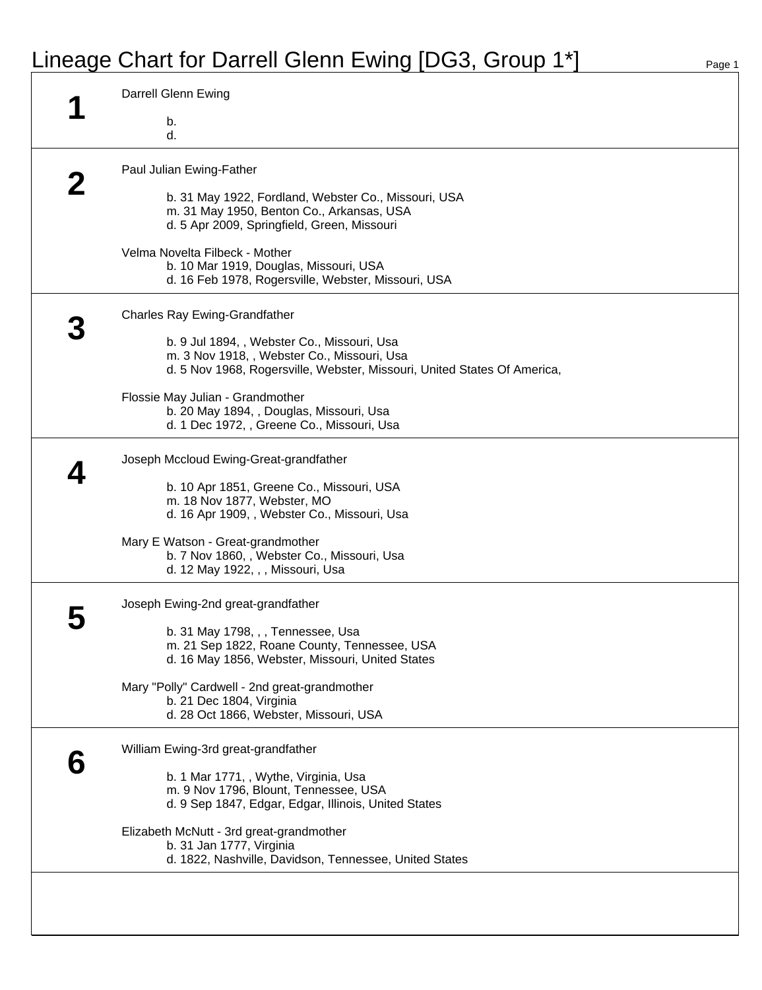## Lineage Chart for Darrell Glenn Ewing [DG3, Group 1\*] Page 1

|   | Darrell Glenn Ewing                                                                                                                                                    |
|---|------------------------------------------------------------------------------------------------------------------------------------------------------------------------|
|   | b.<br>d.                                                                                                                                                               |
|   | Paul Julian Ewing-Father                                                                                                                                               |
|   | b. 31 May 1922, Fordland, Webster Co., Missouri, USA<br>m. 31 May 1950, Benton Co., Arkansas, USA<br>d. 5 Apr 2009, Springfield, Green, Missouri                       |
|   | Velma Novelta Filbeck - Mother<br>b. 10 Mar 1919, Douglas, Missouri, USA<br>d. 16 Feb 1978, Rogersville, Webster, Missouri, USA                                        |
|   | <b>Charles Ray Ewing-Grandfather</b>                                                                                                                                   |
|   | b. 9 Jul 1894, , Webster Co., Missouri, Usa<br>m. 3 Nov 1918, , Webster Co., Missouri, Usa<br>d. 5 Nov 1968, Rogersville, Webster, Missouri, United States Of America, |
|   | Flossie May Julian - Grandmother<br>b. 20 May 1894, , Douglas, Missouri, Usa<br>d. 1 Dec 1972, , Greene Co., Missouri, Usa                                             |
|   | Joseph Mccloud Ewing-Great-grandfather                                                                                                                                 |
|   | b. 10 Apr 1851, Greene Co., Missouri, USA<br>m. 18 Nov 1877, Webster, MO<br>d. 16 Apr 1909, , Webster Co., Missouri, Usa                                               |
|   | Mary E Watson - Great-grandmother<br>b. 7 Nov 1860, , Webster Co., Missouri, Usa<br>d. 12 May 1922, , , Missouri, Usa                                                  |
|   | Joseph Ewing-2nd great-grandfather                                                                                                                                     |
|   | b. 31 May 1798, , , Tennessee, Usa<br>m. 21 Sep 1822, Roane County, Tennessee, USA<br>d. 16 May 1856, Webster, Missouri, United States                                 |
|   | Mary "Polly" Cardwell - 2nd great-grandmother<br>b. 21 Dec 1804, Virginia<br>d. 28 Oct 1866, Webster, Missouri, USA                                                    |
| 6 | William Ewing-3rd great-grandfather                                                                                                                                    |
|   | b. 1 Mar 1771, , Wythe, Virginia, Usa<br>m. 9 Nov 1796, Blount, Tennessee, USA<br>d. 9 Sep 1847, Edgar, Edgar, Illinois, United States                                 |
|   | Elizabeth McNutt - 3rd great-grandmother<br>b. 31 Jan 1777, Virginia<br>d. 1822, Nashville, Davidson, Tennessee, United States                                         |